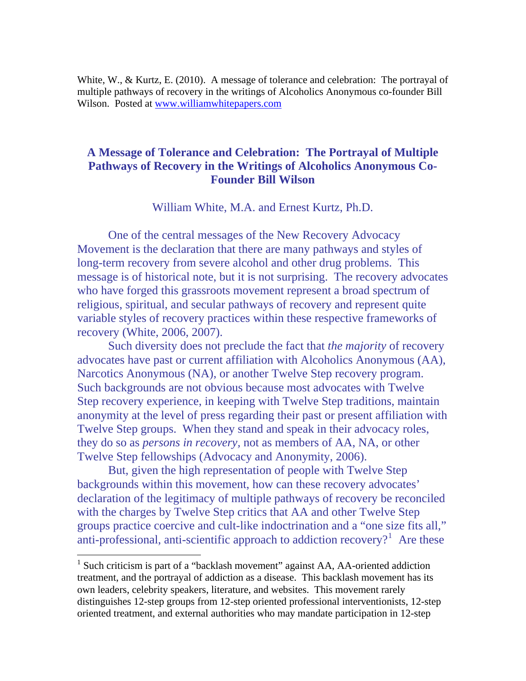White, W., & Kurtz, E. (2010). A message of tolerance and celebration: The portrayal of multiple pathways of recovery in the writings of Alcoholics Anonymous co-founder Bill Wilson. Posted at [www.williamwhitepapers.com](http://www.williamwhitepapers.com/)

# **A Message of Tolerance and Celebration: The Portrayal of Multiple Pathways of Recovery in the Writings of Alcoholics Anonymous Co-Founder Bill Wilson**

William White, M.A. and Ernest Kurtz, Ph.D.

 One of the central messages of the New Recovery Advocacy Movement is the declaration that there are many pathways and styles of long-term recovery from severe alcohol and other drug problems. This message is of historical note, but it is not surprising. The recovery advocates who have forged this grassroots movement represent a broad spectrum of religious, spiritual, and secular pathways of recovery and represent quite variable styles of recovery practices within these respective frameworks of recovery (White, 2006, 2007).

 Such diversity does not preclude the fact that *the majority* of recovery advocates have past or current affiliation with Alcoholics Anonymous (AA), Narcotics Anonymous (NA), or another Twelve Step recovery program. Such backgrounds are not obvious because most advocates with Twelve Step recovery experience, in keeping with Twelve Step traditions, maintain anonymity at the level of press regarding their past or present affiliation with Twelve Step groups. When they stand and speak in their advocacy roles, they do so as *persons in recovery,* not as members of AA, NA, or other Twelve Step fellowships (Advocacy and Anonymity, 2006).

 But, given the high representation of people with Twelve Step backgrounds within this movement, how can these recovery advocates' declaration of the legitimacy of multiple pathways of recovery be reconciled with the charges by Twelve Step critics that AA and other Twelve Step groups practice coercive and cult-like indoctrination and a "one size fits all," anti-professional, anti-scientific approach to addiction recovery?<sup>[1](#page-0-0)</sup> Are these

 $\overline{a}$ 

<span id="page-0-0"></span><sup>&</sup>lt;sup>1</sup> Such criticism is part of a "backlash movement" against AA, AA-oriented addiction treatment, and the portrayal of addiction as a disease. This backlash movement has its own leaders, celebrity speakers, literature, and websites. This movement rarely distinguishes 12-step groups from 12-step oriented professional interventionists, 12-step oriented treatment, and external authorities who may mandate participation in 12-step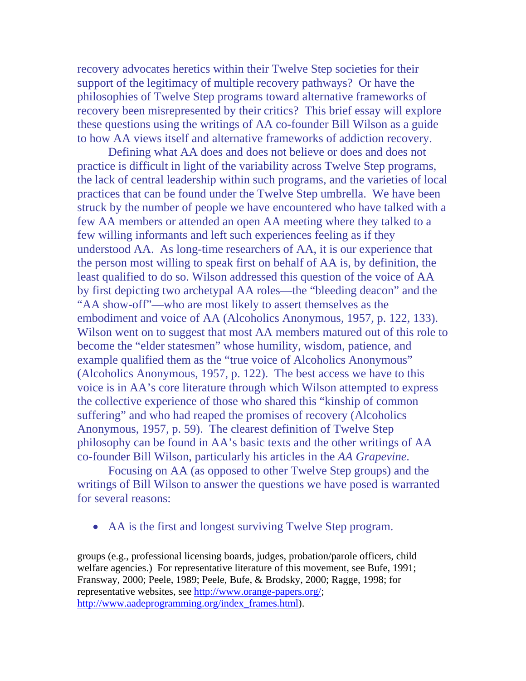recovery advocates heretics within their Twelve Step societies for their support of the legitimacy of multiple recovery pathways? Or have the philosophies of Twelve Step programs toward alternative frameworks of recovery been misrepresented by their critics? This brief essay will explore these questions using the writings of AA co-founder Bill Wilson as a guide to how AA views itself and alternative frameworks of addiction recovery.

 Defining what AA does and does not believe or does and does not practice is difficult in light of the variability across Twelve Step programs, the lack of central leadership within such programs, and the varieties of local practices that can be found under the Twelve Step umbrella. We have been struck by the number of people we have encountered who have talked with a few AA members or attended an open AA meeting where they talked to a few willing informants and left such experiences feeling as if they understood AA. As long-time researchers of AA, it is our experience that the person most willing to speak first on behalf of AA is, by definition, the least qualified to do so. Wilson addressed this question of the voice of AA by first depicting two archetypal AA roles—the "bleeding deacon" and the "AA show-off"—who are most likely to assert themselves as the embodiment and voice of AA (Alcoholics Anonymous, 1957, p. 122, 133). Wilson went on to suggest that most AA members matured out of this role to become the "elder statesmen" whose humility, wisdom, patience, and example qualified them as the "true voice of Alcoholics Anonymous" (Alcoholics Anonymous, 1957, p. 122). The best access we have to this voice is in AA's core literature through which Wilson attempted to express the collective experience of those who shared this "kinship of common suffering" and who had reaped the promises of recovery (Alcoholics Anonymous, 1957, p. 59). The clearest definition of Twelve Step philosophy can be found in AA's basic texts and the other writings of AA co-founder Bill Wilson, particularly his articles in the *AA Grapevine*.

 Focusing on AA (as opposed to other Twelve Step groups) and the writings of Bill Wilson to answer the questions we have posed is warranted for several reasons:

AA is the first and longest surviving Twelve Step program.

 $\overline{a}$ 

groups (e.g., professional licensing boards, judges, probation/parole officers, child welfare agencies.) For representative literature of this movement, see Bufe, 1991; Fransway, 2000; Peele, 1989; Peele, Bufe, & Brodsky, 2000; Ragge, 1998; for representative websites, see [http://www.orange-papers.org/;](http://www.orange-papers.org/) [http://www.aadeprogramming.org/index\\_frames.html\)](http://www.aadeprogramming.org/index_frames.html).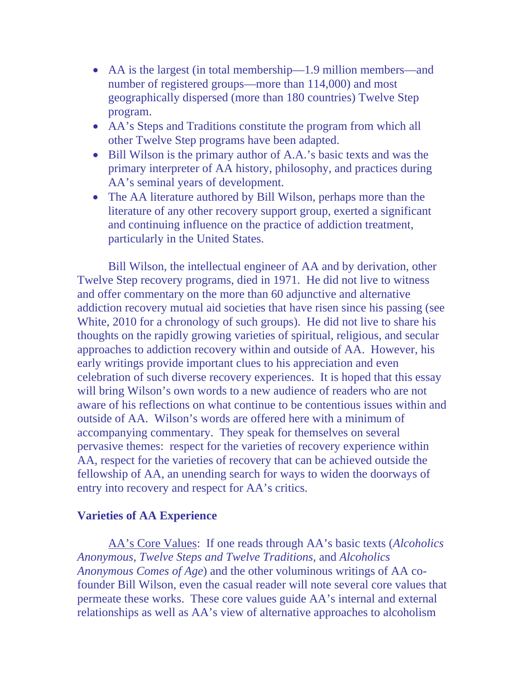- AA is the largest (in total membership—1.9 million members—and number of registered groups—more than 114,000) and most geographically dispersed (more than 180 countries) Twelve Step program.
- AA's Steps and Traditions constitute the program from which all other Twelve Step programs have been adapted.
- Bill Wilson is the primary author of A.A.'s basic texts and was the primary interpreter of AA history, philosophy, and practices during AA's seminal years of development.
- The AA literature authored by Bill Wilson, perhaps more than the literature of any other recovery support group, exerted a significant and continuing influence on the practice of addiction treatment, particularly in the United States.

 Bill Wilson, the intellectual engineer of AA and by derivation, other Twelve Step recovery programs, died in 1971. He did not live to witness and offer commentary on the more than 60 adjunctive and alternative addiction recovery mutual aid societies that have risen since his passing (see White, 2010 for a chronology of such groups). He did not live to share his thoughts on the rapidly growing varieties of spiritual, religious, and secular approaches to addiction recovery within and outside of AA. However, his early writings provide important clues to his appreciation and even celebration of such diverse recovery experiences. It is hoped that this essay will bring Wilson's own words to a new audience of readers who are not aware of his reflections on what continue to be contentious issues within and outside of AA. Wilson's words are offered here with a minimum of accompanying commentary. They speak for themselves on several pervasive themes: respect for the varieties of recovery experience within AA, respect for the varieties of recovery that can be achieved outside the fellowship of AA, an unending search for ways to widen the doorways of entry into recovery and respect for AA's critics.

#### **Varieties of AA Experience**

 AA's Core Values: If one reads through AA's basic texts (*Alcoholics Anonymous*, *Twelve Steps and Twelve Traditions,* and *Alcoholics Anonymous Comes of Age*) and the other voluminous writings of AA cofounder Bill Wilson, even the casual reader will note several core values that permeate these works. These core values guide AA's internal and external relationships as well as AA's view of alternative approaches to alcoholism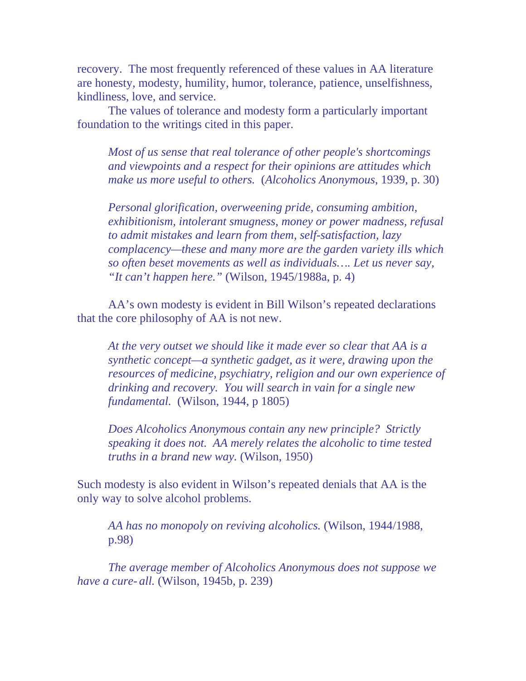recovery. The most frequently referenced of these values in AA literature are honesty, modesty, humility, humor, tolerance, patience, unselfishness, kindliness, love, and service.

 The values of tolerance and modesty form a particularly important foundation to the writings cited in this paper.

*Most of us sense that real tolerance of other people's shortcomings and viewpoints and a respect for their opinions are attitudes which make us more useful to others.* (*Alcoholics Anonymous*, 1939, p. 30)

*Personal glorification, overweening pride, consuming ambition, exhibitionism, intolerant smugness, money or power madness, refusal to admit mistakes and learn from them, self-satisfaction, lazy complacency—these and many more are the garden variety ills which so often beset movements as well as individuals…. Let us never say, "It can't happen here."* (Wilson, 1945/1988a, p. 4)

 AA's own modesty is evident in Bill Wilson's repeated declarations that the core philosophy of AA is not new.

*At the very outset we should like it made ever so clear that AA is a synthetic concept—a synthetic gadget, as it were, drawing upon the resources of medicine, psychiatry, religion and our own experience of drinking and recovery. You will search in vain for a single new fundamental.* (Wilson, 1944, p 1805)

*Does Alcoholics Anonymous contain any new principle? Strictly speaking it does not. AA merely relates the alcoholic to time tested truths in a brand new way.* (Wilson, 1950)

Such modesty is also evident in Wilson's repeated denials that AA is the only way to solve alcohol problems.

*AA has no monopoly on reviving alcoholics.* (Wilson, 1944/1988, p.98)

*The average member of Alcoholics Anonymous does not suppose we have a cure- all.* (Wilson, 1945b, p. 239)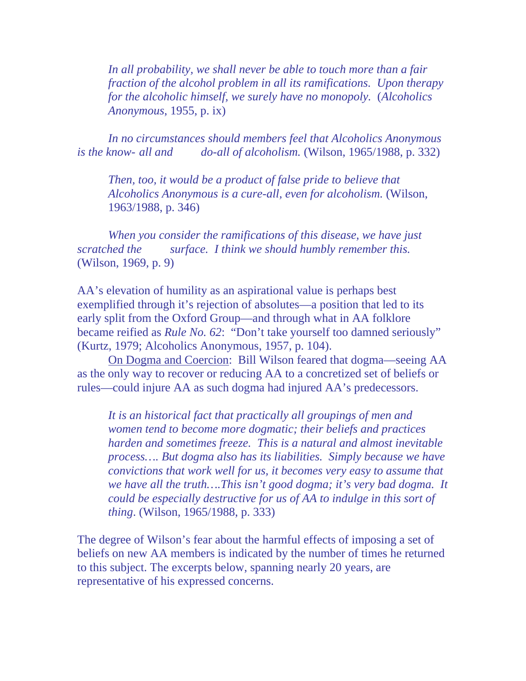*In all probability, we shall never be able to touch more than a fair fraction of the alcohol problem in all its ramifications. Upon therapy for the alcoholic himself, we surely have no monopoly.* (*Alcoholics Anonymous*, 1955, p. ix)

*In no circumstances should members feel that Alcoholics Anonymous is the know- all and do-all of alcoholism.* (Wilson, 1965/1988, p. 332)

 *Then, too, it would be a product of false pride to believe that Alcoholics Anonymous is a cure-all, even for alcoholism.* (Wilson, 1963/1988, p. 346)

 *When you consider the ramifications of this disease, we have just scratched the surface. I think we should humbly remember this.* (Wilson, 1969, p. 9)

AA's elevation of humility as an aspirational value is perhaps best exemplified through it's rejection of absolutes—a position that led to its early split from the Oxford Group—and through what in AA folklore became reified as *Rule No. 62*: "Don't take yourself too damned seriously" (Kurtz, 1979; Alcoholics Anonymous, 1957, p. 104).

On Dogma and Coercion:Bill Wilson feared that dogma—seeing AA as the only way to recover or reducing AA to a concretized set of beliefs or rules—could injure AA as such dogma had injured AA's predecessors.

*It is an historical fact that practically all groupings of men and women tend to become more dogmatic; their beliefs and practices harden and sometimes freeze. This is a natural and almost inevitable process…. But dogma also has its liabilities. Simply because we have convictions that work well for us, it becomes very easy to assume that we have all the truth….This isn't good dogma; it's very bad dogma. It could be especially destructive for us of AA to indulge in this sort of thing*. (Wilson, 1965/1988, p. 333)

The degree of Wilson's fear about the harmful effects of imposing a set of beliefs on new AA members is indicated by the number of times he returned to this subject. The excerpts below, spanning nearly 20 years, are representative of his expressed concerns.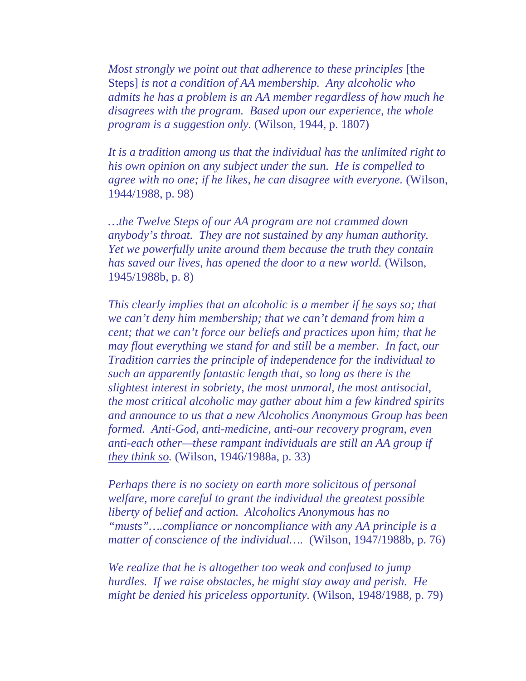*Most strongly we point out that adherence to these principles* [the Steps] *is not a condition of AA membership. Any alcoholic who admits he has a problem is an AA member regardless of how much he disagrees with the program. Based upon our experience, the whole program is a suggestion only.* (Wilson, 1944, p. 1807)

*It is a tradition among us that the individual has the unlimited right to his own opinion on any subject under the sun. He is compelled to agree with no one; if he likes, he can disagree with everyone.* (Wilson, 1944/1988, p. 98)

*…the Twelve Steps of our AA program are not crammed down anybody's throat. They are not sustained by any human authority. Yet we powerfully unite around them because the truth they contain has saved our lives, has opened the door to a new world.* (Wilson, 1945/1988b, p. 8)

*This clearly implies that an alcoholic is a member if he says so; that we can't deny him membership; that we can't demand from him a cent; that we can't force our beliefs and practices upon him; that he may flout everything we stand for and still be a member. In fact, our Tradition carries the principle of independence for the individual to such an apparently fantastic length that, so long as there is the slightest interest in sobriety, the most unmoral, the most antisocial, the most critical alcoholic may gather about him a few kindred spirits and announce to us that a new Alcoholics Anonymous Group has been formed. Anti-God, anti-medicine, anti-our recovery program, even anti-each other—these rampant individuals are still an AA group if they think so.* (Wilson, 1946/1988a, p. 33)

*Perhaps there is no society on earth more solicitous of personal welfare, more careful to grant the individual the greatest possible liberty of belief and action. Alcoholics Anonymous has no "musts"….compliance or noncompliance with any AA principle is a matter of conscience of the individual….* (Wilson, 1947/1988b, p. 76)

*We realize that he is altogether too weak and confused to jump hurdles. If we raise obstacles, he might stay away and perish. He might be denied his priceless opportunity.* (Wilson, 1948/1988, p. 79)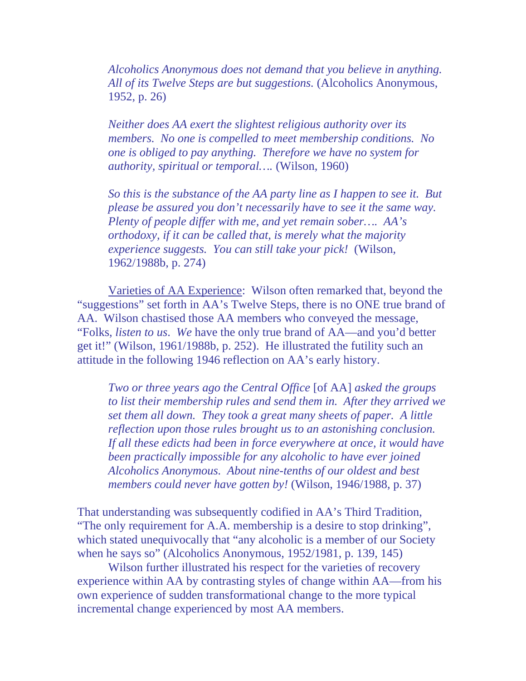*Alcoholics Anonymous does not demand that you believe in anything. All of its Twelve Steps are but suggestions.* (Alcoholics Anonymous, 1952, p. 26)

*Neither does AA exert the slightest religious authority over its members. No one is compelled to meet membership conditions. No one is obliged to pay anything. Therefore we have no system for authority, spiritual or temporal….* (Wilson, 1960)

*So this is the substance of the AA party line as I happen to see it. But please be assured you don't necessarily have to see it the same way. Plenty of people differ with me, and yet remain sober…. AA's orthodoxy, if it can be called that, is merely what the majority experience suggests. You can still take your pick!* (Wilson, 1962/1988b, p. 274)

 Varieties of AA Experience:Wilson often remarked that, beyond the "suggestions" set forth in AA's Twelve Steps, there is no ONE true brand of AA. Wilson chastised those AA members who conveyed the message, "Folks, *listen to us*. *We* have the only true brand of AA—and you'd better get it!" (Wilson, 1961/1988b, p. 252). He illustrated the futility such an attitude in the following 1946 reflection on AA's early history.

*Two or three years ago the Central Office* [of AA] *asked the groups to list their membership rules and send them in. After they arrived we set them all down. They took a great many sheets of paper. A little reflection upon those rules brought us to an astonishing conclusion. If all these edicts had been in force everywhere at once, it would have been practically impossible for any alcoholic to have ever joined Alcoholics Anonymous. About nine-tenths of our oldest and best members could never have gotten by!* (Wilson, 1946/1988, p. 37)

That understanding was subsequently codified in AA's Third Tradition, "The only requirement for A.A. membership is a desire to stop drinking", which stated unequivocally that "any alcoholic is a member of our Society when he says so" (Alcoholics Anonymous, 1952/1981, p. 139, 145)

 Wilson further illustrated his respect for the varieties of recovery experience within AA by contrasting styles of change within AA—from his own experience of sudden transformational change to the more typical incremental change experienced by most AA members.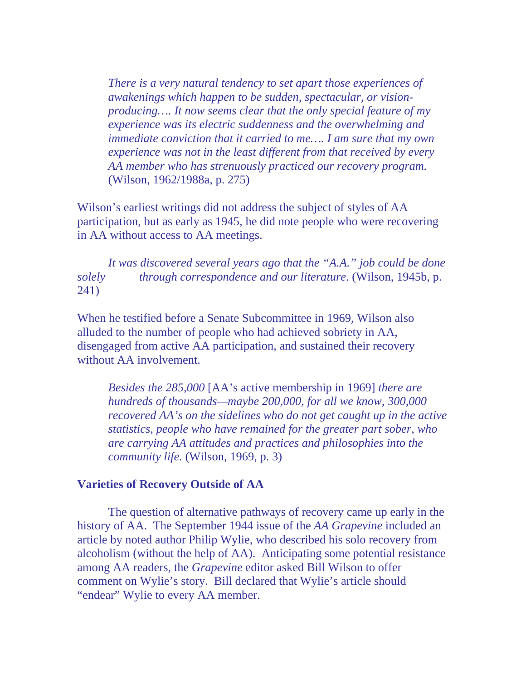*There is a very natural tendency to set apart those experiences of awakenings which happen to be sudden, spectacular, or visionproducing…. It now seems clear that the only special feature of my experience was its electric suddenness and the overwhelming and immediate conviction that it carried to me…. I am sure that my own experience was not in the least different from that received by every AA member who has strenuously practiced our recovery program.* (Wilson, 1962/1988a, p. 275)

Wilson's earliest writings did not address the subject of styles of AA participation, but as early as 1945, he did note people who were recovering in AA without access to AA meetings.

*It was discovered several years ago that the "A.A." job could be done solely through correspondence and our literature.* (Wilson, 1945b, p. 241)

When he testified before a Senate Subcommittee in 1969, Wilson also alluded to the number of people who had achieved sobriety in AA, disengaged from active AA participation, and sustained their recovery without AA involvement.

*Besides the 285,000* [AA's active membership in 1969] *there are hundreds of thousands—maybe 200,000, for all we know, 300,000 recovered AA's on the sidelines who do not get caught up in the active statistics, people who have remained for the greater part sober, who are carrying AA attitudes and practices and philosophies into the community life.* (Wilson, 1969, p. 3)

## **Varieties of Recovery Outside of AA**

The question of alternative pathways of recovery came up early in the history of AA. The September 1944 issue of the *AA Grapevine* included an article by noted author Philip Wylie, who described his solo recovery from alcoholism (without the help of AA). Anticipating some potential resistance among AA readers, the *Grapevine* editor asked Bill Wilson to offer comment on Wylie's story. Bill declared that Wylie's article should "endear" Wylie to every AA member.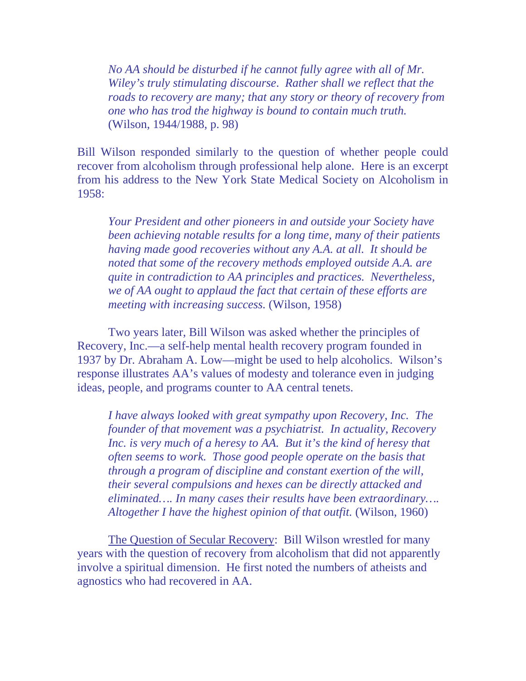*No AA should be disturbed if he cannot fully agree with all of Mr. Wiley's truly stimulating discourse*. *Rather shall we reflect that the roads to recovery are many; that any story or theory of recovery from one who has trod the highway is bound to contain much truth.* (Wilson, 1944/1988, p. 98)

Bill Wilson responded similarly to the question of whether people could recover from alcoholism through professional help alone. Here is an excerpt from his address to the New York State Medical Society on Alcoholism in 1958:

*Your President and other pioneers in and outside your Society have been achieving notable results for a long time, many of their patients having made good recoveries without any A.A. at all. It should be noted that some of the recovery methods employed outside A.A. are quite in contradiction to AA principles and practices. Nevertheless, we of AA ought to applaud the fact that certain of these efforts are meeting with increasing success.* (Wilson, 1958)

 Two years later, Bill Wilson was asked whether the principles of Recovery, Inc.—a self-help mental health recovery program founded in 1937 by Dr. [Abraham A. Low](http://www.recovery-inc.org/resources/low.html)—might be used to help alcoholics. Wilson's response illustrates AA's values of modesty and tolerance even in judging ideas, people, and programs counter to AA central tenets.

*I have always looked with great sympathy upon Recovery, Inc. The founder of that movement was a psychiatrist. In actuality, Recovery Inc. is very much of a heresy to AA. But it's the kind of heresy that often seems to work. Those good people operate on the basis that through a program of discipline and constant exertion of the will, their several compulsions and hexes can be directly attacked and eliminated…. In many cases their results have been extraordinary…. Altogether I have the highest opinion of that outfit.* (Wilson, 1960)

The Question of Secular Recovery:Bill Wilson wrestled for many years with the question of recovery from alcoholism that did not apparently involve a spiritual dimension. He first noted the numbers of atheists and agnostics who had recovered in AA.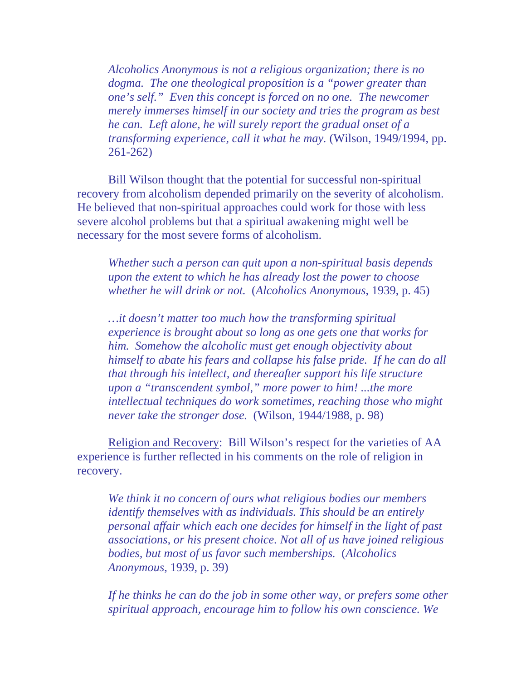*Alcoholics Anonymous is not a religious organization; there is no dogma. The one theological proposition is a "power greater than one's self." Even this concept is forced on no one. The newcomer merely immerses himself in our society and tries the program as best he can. Left alone, he will surely report the gradual onset of a transforming experience, call it what he may.* (Wilson, 1949/1994, pp. 261-262)

Bill Wilson thought that the potential for successful non-spiritual recovery from alcoholism depended primarily on the severity of alcoholism. He believed that non-spiritual approaches could work for those with less severe alcohol problems but that a spiritual awakening might well be necessary for the most severe forms of alcoholism.

*Whether such a person can quit upon a non-spiritual basis depends upon the extent to which he has already lost the power to choose whether he will drink or not.* (*Alcoholics Anonymous*, 1939, p. 45)

*…it doesn't matter too much how the transforming spiritual experience is brought about so long as one gets one that works for him. Somehow the alcoholic must get enough objectivity about himself to abate his fears and collapse his false pride. If he can do all that through his intellect, and thereafter support his life structure upon a "transcendent symbol," more power to him! ...the more intellectual techniques do work sometimes, reaching those who might never take the stronger dose.* (Wilson, 1944/1988, p. 98)

Religion and Recovery:Bill Wilson's respect for the varieties of AA experience is further reflected in his comments on the role of religion in recovery.

*We think it no concern of ours what religious bodies our members identify themselves with as individuals. This should be an entirely personal affair which each one decides for himself in the light of past associations, or his present choice. Not all of us have joined religious bodies, but most of us favor such memberships.* (*Alcoholics Anonymous*, 1939, p. 39)

*If he thinks he can do the job in some other way, or prefers some other spiritual approach, encourage him to follow his own conscience. We*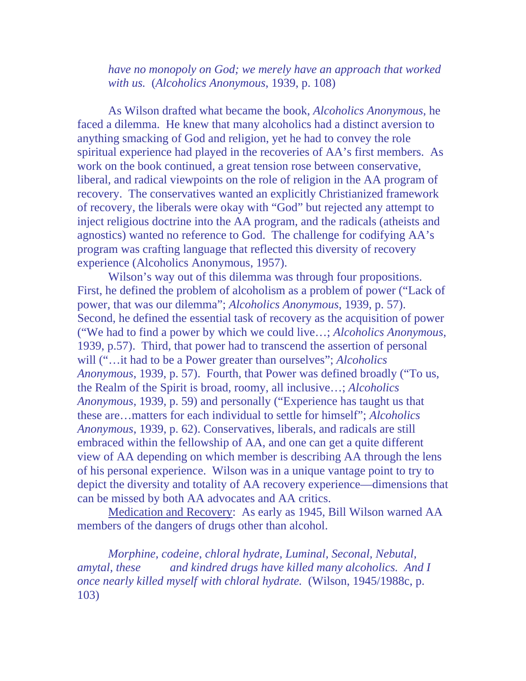*have no monopoly on God; we merely have an approach that worked with us.* (*Alcoholics Anonymous*, 1939, p. 108)

 As Wilson drafted what became the book, *Alcoholics Anonymous*, he faced a dilemma. He knew that many alcoholics had a distinct aversion to anything smacking of God and religion, yet he had to convey the role spiritual experience had played in the recoveries of AA's first members. As work on the book continued, a great tension rose between conservative, liberal, and radical viewpoints on the role of religion in the AA program of recovery. The conservatives wanted an explicitly Christianized framework of recovery, the liberals were okay with "God" but rejected any attempt to inject religious doctrine into the AA program, and the radicals (atheists and agnostics) wanted no reference to God. The challenge for codifying AA's program was crafting language that reflected this diversity of recovery experience (Alcoholics Anonymous, 1957).

 Wilson's way out of this dilemma was through four propositions. First, he defined the problem of alcoholism as a problem of power ("Lack of power, that was our dilemma"; *Alcoholics Anonymous*, 1939, p. 57). Second, he defined the essential task of recovery as the acquisition of power ("We had to find a power by which we could live…; *Alcoholics Anonymous*, 1939, p.57). Third, that power had to transcend the assertion of personal will ("…it had to be a Power greater than ourselves"; *Alcoholics Anonymous*, 1939, p. 57). Fourth, that Power was defined broadly ("To us, the Realm of the Spirit is broad, roomy, all inclusive…; *Alcoholics Anonymous*, 1939, p. 59) and personally ("Experience has taught us that these are…matters for each individual to settle for himself"; *Alcoholics Anonymous*, 1939, p. 62). Conservatives, liberals, and radicals are still embraced within the fellowship of AA, and one can get a quite different view of AA depending on which member is describing AA through the lens of his personal experience. Wilson was in a unique vantage point to try to depict the diversity and totality of AA recovery experience—dimensions that can be missed by both AA advocates and AA critics.

 Medication and Recovery:As early as 1945, Bill Wilson warned AA members of the dangers of drugs other than alcohol.

*Morphine, codeine, chloral hydrate, Luminal, Seconal, Nebutal, amytal, these and kindred drugs have killed many alcoholics. And I once nearly killed myself with chloral hydrate.* (Wilson, 1945/1988c, p. 103)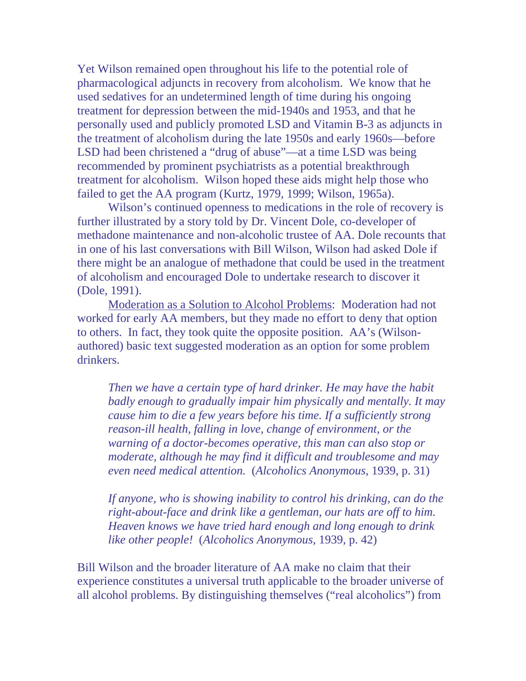Yet Wilson remained open throughout his life to the potential role of pharmacological adjuncts in recovery from alcoholism. We know that he used sedatives for an undetermined length of time during his ongoing treatment for depression between the mid-1940s and 1953, and that he personally used and publicly promoted LSD and Vitamin B-3 as adjuncts in the treatment of alcoholism during the late 1950s and early 1960s—before LSD had been christened a "drug of abuse"—at a time LSD was being recommended by prominent psychiatrists as a potential breakthrough treatment for alcoholism. Wilson hoped these aids might help those who failed to get the AA program (Kurtz, 1979, 1999; Wilson, 1965a).

 Wilson's continued openness to medications in the role of recovery is further illustrated by a story told by Dr. Vincent Dole, co-developer of methadone maintenance and non-alcoholic trustee of AA. Dole recounts that in one of his last conversations with Bill Wilson, Wilson had asked Dole if there might be an analogue of methadone that could be used in the treatment of alcoholism and encouraged Dole to undertake research to discover it (Dole, 1991).

Moderation as a Solution to Alcohol Problems:Moderation had not worked for early AA members, but they made no effort to deny that option to others. In fact, they took quite the opposite position. AA's (Wilsonauthored) basic text suggested moderation as an option for some problem drinkers.

 *Then we have a certain type of hard drinker. He may have the habit badly enough to gradually impair him physically and mentally. It may cause him to die a few years before his time. If a sufficiently strong reason-ill health, falling in love, change of environment, or the warning of a doctor-becomes operative, this man can also stop or moderate, although he may find it difficult and troublesome and may even need medical attention.* (*Alcoholics Anonymous*, 1939, p. 31)

 *If anyone, who is showing inability to control his drinking, can do the right-about-face and drink like a gentleman, our hats are off to him. Heaven knows we have tried hard enough and long enough to drink like other people!* (*Alcoholics Anonymous,* 1939, p. 42)

Bill Wilson and the broader literature of AA make no claim that their experience constitutes a universal truth applicable to the broader universe of all alcohol problems. By distinguishing themselves ("real alcoholics") from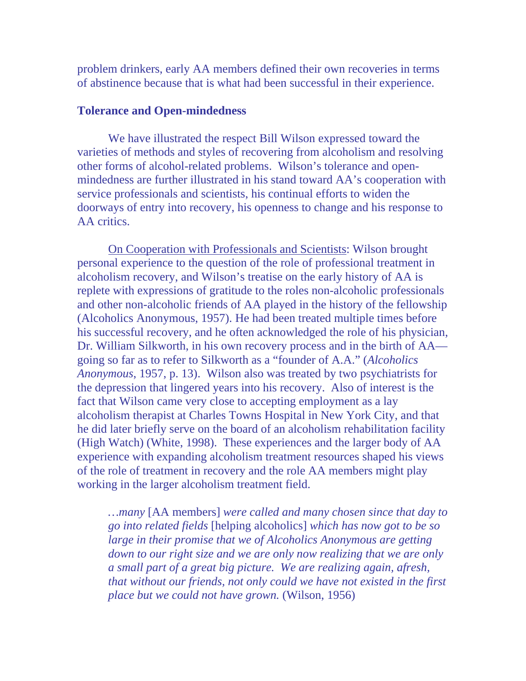problem drinkers, early AA members defined their own recoveries in terms of abstinence because that is what had been successful in their experience.

#### **Tolerance and Open-mindedness**

 We have illustrated the respect Bill Wilson expressed toward the varieties of methods and styles of recovering from alcoholism and resolving other forms of alcohol-related problems. Wilson's tolerance and openmindedness are further illustrated in his stand toward AA's cooperation with service professionals and scientists, his continual efforts to widen the doorways of entry into recovery, his openness to change and his response to AA critics.

On Cooperation with Professionals and Scientists: Wilson brought personal experience to the question of the role of professional treatment in alcoholism recovery, and Wilson's treatise on the early history of AA is replete with expressions of gratitude to the roles non-alcoholic professionals and other non-alcoholic friends of AA played in the history of the fellowship (Alcoholics Anonymous, 1957). He had been treated multiple times before his successful recovery, and he often acknowledged the role of his physician, Dr. William Silkworth, in his own recovery process and in the birth of AA going so far as to refer to Silkworth as a "founder of A.A." (*Alcoholics Anonymous*, 1957, p. 13). Wilson also was treated by two psychiatrists for the depression that lingered years into his recovery. Also of interest is the fact that Wilson came very close to accepting employment as a lay alcoholism therapist at Charles Towns Hospital in New York City, and that he did later briefly serve on the board of an alcoholism rehabilitation facility (High Watch) (White, 1998). These experiences and the larger body of AA experience with expanding alcoholism treatment resources shaped his views of the role of treatment in recovery and the role AA members might play working in the larger alcoholism treatment field.

*…many* [AA members] *were called and many chosen since that day to go into related fields* [helping alcoholics] *which has now got to be so large in their promise that we of Alcoholics Anonymous are getting down to our right size and we are only now realizing that we are only a small part of a great big picture. We are realizing again, afresh, that without our friends, not only could we have not existed in the first place but we could not have grown.* (Wilson, 1956)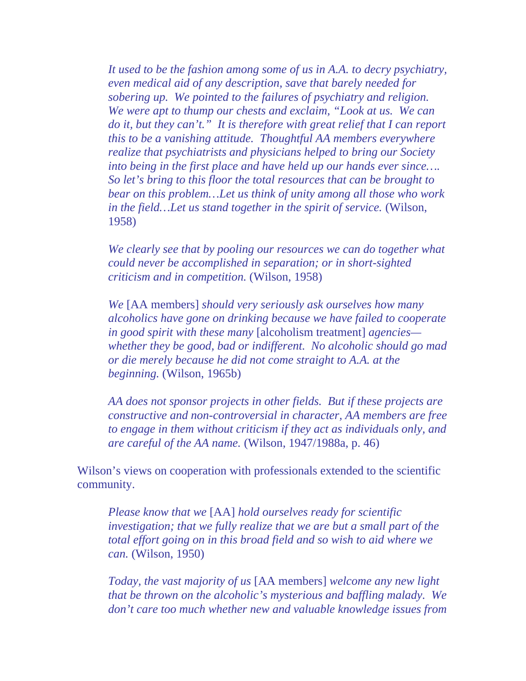*It used to be the fashion among some of us in A.A. to decry psychiatry, even medical aid of any description, save that barely needed for sobering up. We pointed to the failures of psychiatry and religion. We were apt to thump our chests and exclaim, "Look at us. We can do it, but they can't." It is therefore with great relief that I can report this to be a vanishing attitude. Thoughtful AA members everywhere realize that psychiatrists and physicians helped to bring our Society into being in the first place and have held up our hands ever since…. So let's bring to this floor the total resources that can be brought to bear on this problem…Let us think of unity among all those who work in the field…Let us stand together in the spirit of service.* (Wilson, 1958)

*We clearly see that by pooling our resources we can do together what could never be accomplished in separation; or in short-sighted criticism and in competition.* (Wilson, 1958)

*We* [AA members] *should very seriously ask ourselves how many alcoholics have gone on drinking because we have failed to cooperate in good spirit with these many* [alcoholism treatment] *agencies whether they be good, bad or indifferent. No alcoholic should go mad or die merely because he did not come straight to A.A. at the beginning.* (Wilson, 1965b)

*AA does not sponsor projects in other fields. But if these projects are constructive and non-controversial in character, AA members are free to engage in them without criticism if they act as individuals only, and are careful of the AA name.* (Wilson, 1947/1988a, p. 46)

Wilson's views on cooperation with professionals extended to the scientific community.

*Please know that we* [AA] *hold ourselves ready for scientific investigation; that we fully realize that we are but a small part of the total effort going on in this broad field and so wish to aid where we can.* (Wilson, 1950)

*Today, the vast majority of us* [AA members] *welcome any new light that be thrown on the alcoholic's mysterious and baffling malady. We don't care too much whether new and valuable knowledge issues from*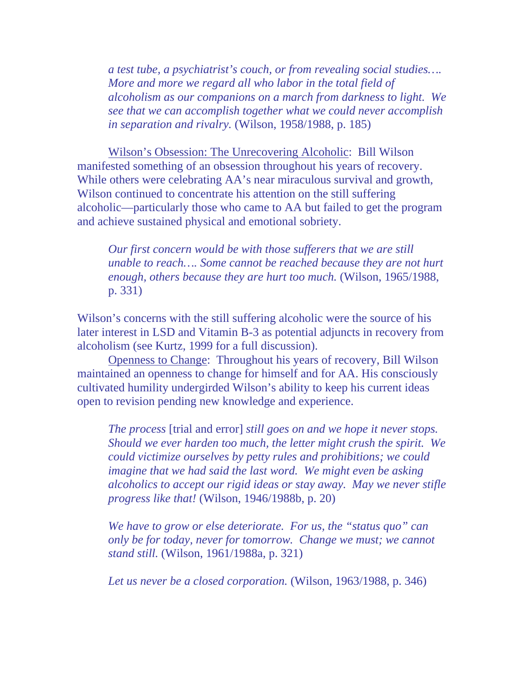*a test tube, a psychiatrist's couch, or from revealing social studies…. More and more we regard all who labor in the total field of alcoholism as our companions on a march from darkness to light. We see that we can accomplish together what we could never accomplish in separation and rivalry.* (Wilson, 1958/1988, p. 185)

Wilson's Obsession: The Unrecovering Alcoholic:Bill Wilson manifested something of an obsession throughout his years of recovery. While others were celebrating AA's near miraculous survival and growth, Wilson continued to concentrate his attention on the still suffering alcoholic—particularly those who came to AA but failed to get the program and achieve sustained physical and emotional sobriety.

*Our first concern would be with those sufferers that we are still unable to reach…. Some cannot be reached because they are not hurt enough, others because they are hurt too much.* (Wilson, 1965/1988, p. 331)

Wilson's concerns with the still suffering alcoholic were the source of his later interest in LSD and Vitamin B-3 as potential adjuncts in recovery from alcoholism (see Kurtz, 1999 for a full discussion).

Openness to Change:Throughout his years of recovery, Bill Wilson maintained an openness to change for himself and for AA. His consciously cultivated humility undergirded Wilson's ability to keep his current ideas open to revision pending new knowledge and experience.

*The process* [trial and error] *still goes on and we hope it never stops. Should we ever harden too much, the letter might crush the spirit. We could victimize ourselves by petty rules and prohibitions; we could imagine that we had said the last word. We might even be asking alcoholics to accept our rigid ideas or stay away. May we never stifle progress like that!* (Wilson, 1946/1988b, p. 20)

*We have to grow or else deteriorate. For us, the "status quo" can only be for today, never for tomorrow. Change we must; we cannot stand still.* (Wilson, 1961/1988a, p. 321)

*Let us never be a closed corporation.* (Wilson, 1963/1988, p. 346)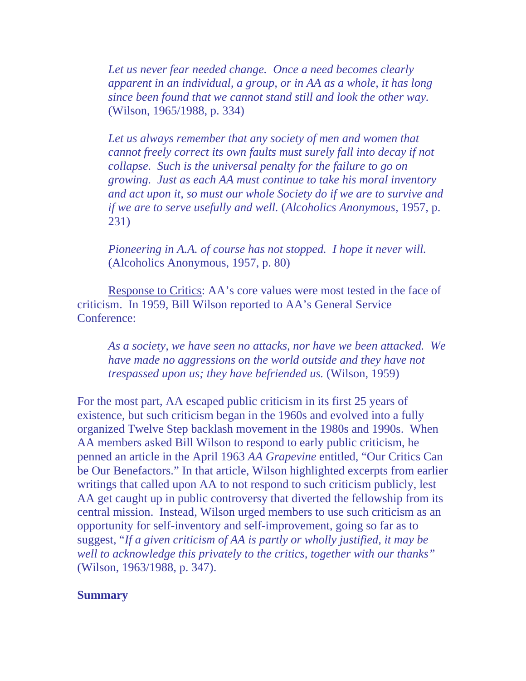*Let us never fear needed change. Once a need becomes clearly apparent in an individual, a group, or in AA as a whole, it has long since been found that we cannot stand still and look the other way.* (Wilson, 1965/1988, p. 334)

*Let us always remember that any society of men and women that cannot freely correct its own faults must surely fall into decay if not collapse. Such is the universal penalty for the failure to go on growing. Just as each AA must continue to take his moral inventory and act upon it, so must our whole Society do if we are to survive and if we are to serve usefully and well.* (*Alcoholics Anonymous*, 1957, p. 231)

*Pioneering in A.A. of course has not stopped. I hope it never will.* (Alcoholics Anonymous, 1957, p. 80)

Response to Critics: AA's core values were most tested in the face of criticism. In 1959, Bill Wilson reported to AA's General Service Conference:

*As a society, we have seen no attacks, nor have we been attacked. We have made no aggressions on the world outside and they have not trespassed upon us; they have befriended us.* (Wilson, 1959)

For the most part, AA escaped public criticism in its first 25 years of existence, but such criticism began in the 1960s and evolved into a fully organized Twelve Step backlash movement in the 1980s and 1990s. When AA members asked Bill Wilson to respond to early public criticism, he penned an article in the April 1963 *AA Grapevine* entitled, "Our Critics Can be Our Benefactors." In that article, Wilson highlighted excerpts from earlier writings that called upon AA to not respond to such criticism publicly, lest AA get caught up in public controversy that diverted the fellowship from its central mission. Instead, Wilson urged members to use such criticism as an opportunity for self-inventory and self-improvement, going so far as to suggest, "*If a given criticism of AA is partly or wholly justified, it may be well to acknowledge this privately to the critics, together with our thanks"*  (Wilson, 1963/1988, p. 347).

### **Summary**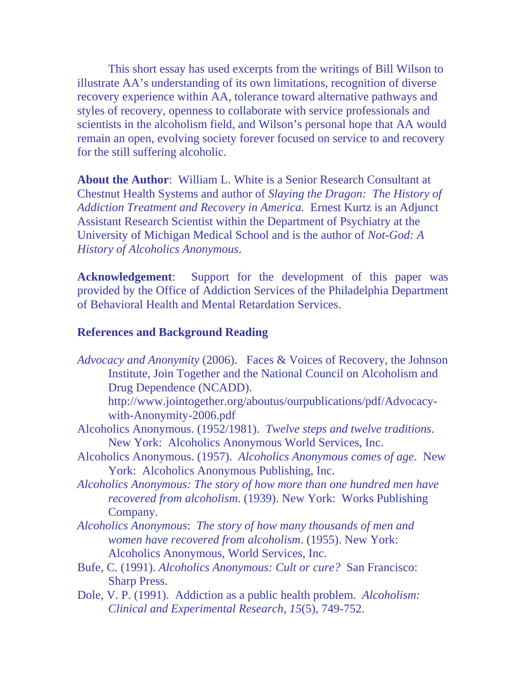This short essay has used excerpts from the writings of Bill Wilson to illustrate AA's understanding of its own limitations, recognition of diverse recovery experience within AA, tolerance toward alternative pathways and styles of recovery, openness to collaborate with service professionals and scientists in the alcoholism field, and Wilson's personal hope that AA would remain an open, evolving society forever focused on service to and recovery for the still suffering alcoholic.

**About the Author**: William L. White is a Senior Research Consultant at Chestnut Health Systems and author of *Slaying the Dragon: The History of Addiction Treatment and Recovery in America.* Ernest Kurtz is an Adjunct Assistant Research Scientist within the Department of Psychiatry at the University of Michigan Medical School and is the author of *Not-God: A History of Alcoholics Anonymous*.

**Acknowledgement**: Support for the development of this paper was provided by the Office of Addiction Services of the Philadelphia Department of Behavioral Health and Mental Retardation Services.

#### **References and Background Reading**

*Advocacy and Anonymity* (2006). Faces & Voices of Recovery, the Johnson Institute, Join Together and the National Council on Alcoholism and Drug Dependence (NCADD).

http://www.jointogether.org/aboutus/ourpublications/pdf/Advocacywith-Anonymity-2006.pdf

- Alcoholics Anonymous. (1952/1981). *Twelve steps and twelve traditions*. New York: Alcoholics Anonymous World Services, Inc.
- Alcoholics Anonymous. (1957). *Alcoholics Anonymous comes of age*. New York: Alcoholics Anonymous Publishing, Inc.
- *Alcoholics Anonymous: The story of how more than one hundred men have recovered from alcoholism*. (1939). New York: Works Publishing Company.
- *Alcoholics Anonymous*: *The story of how many thousands of men and women have recovered from alcoholism*. (1955). New York: Alcoholics Anonymous, World Services, Inc.
- Bufe, C. (1991). *Alcoholics Anonymous: Cult or cure?* San Francisco: Sharp Press.
- Dole, V. P. (1991). Addiction as a public health problem. *Alcoholism: Clinical and Experimental Research*, *15*(5), 749-752.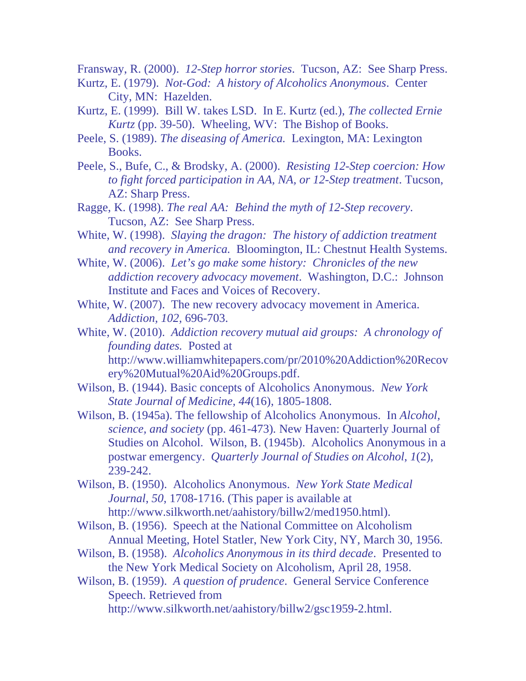Fransway, R. (2000). *12-Step horror stories*. Tucson, AZ: See Sharp Press.

- Kurtz, E. (1979). *Not-God: A history of Alcoholics Anonymous*. Center City, MN: Hazelden.
- Kurtz, E. (1999). Bill W. takes LSD. In E. Kurtz (ed.), *The collected Ernie Kurtz* (pp. 39-50). Wheeling, WV: The Bishop of Books.
- Peele, S. (1989). *The diseasing of America.* Lexington, MA: Lexington Books.
- Peele, S., Bufe, C., & Brodsky, A. (2000). *Resisting 12-Step coercion: How to fight forced participation in AA, NA, or 12-Step treatment*. Tucson, AZ: Sharp Press.
- Ragge, K. (1998). *The real AA: Behind the myth of 12-Step recovery*. Tucson, AZ: See Sharp Press.
- White, W. (1998). *Slaying the dragon: The history of addiction treatment and recovery in America.* Bloomington, IL: Chestnut Health Systems.
- White, W. (2006). *Let's go make some history: Chronicles of the new addiction recovery advocacy movement*. Washington, D.C.: Johnson Institute and Faces and Voices of Recovery.
- White, W. (2007). The new recovery advocacy movement in America. *Addiction, 102,* 696-703.
- White, W. (2010). *Addiction recovery mutual aid groups: A chronology of founding dates.* Posted at http://www.williamwhitepapers.com/pr/2010%20Addiction%20Recov ery%20Mutual%20Aid%20Groups.pdf.
- Wilson, B. (1944). Basic concepts of Alcoholics Anonymous. *New York State Journal of Medicine, 44*(16), 1805-1808.
- Wilson, B. (1945a). The fellowship of Alcoholics Anonymous. In *Alcohol, science, and society* (pp. 461-473)*.* New Haven: Quarterly Journal of Studies on Alcohol. Wilson, B. (1945b). Alcoholics Anonymous in a postwar emergency. *Quarterly Journal of Studies on Alcohol*, *1*(2), 239-242.
- Wilson, B. (1950). Alcoholics Anonymous. *New York State Medical Journal*, *50*, 1708-1716. (This paper is available at http://www.silkworth.net/aahistory/billw2/med1950.html).
- Wilson, B. (1956). Speech at the National Committee on Alcoholism Annual Meeting, Hotel Statler, New York City, NY, March 30, 1956.
- Wilson, B. (1958). *Alcoholics Anonymous in its third decade*. Presented to the New York Medical Society on Alcoholism, April 28, 1958.
- Wilson, B. (1959). *A question of prudence*. General Service Conference Speech. Retrieved from
	- http://www.silkworth.net/aahistory/billw2/gsc1959-2.html.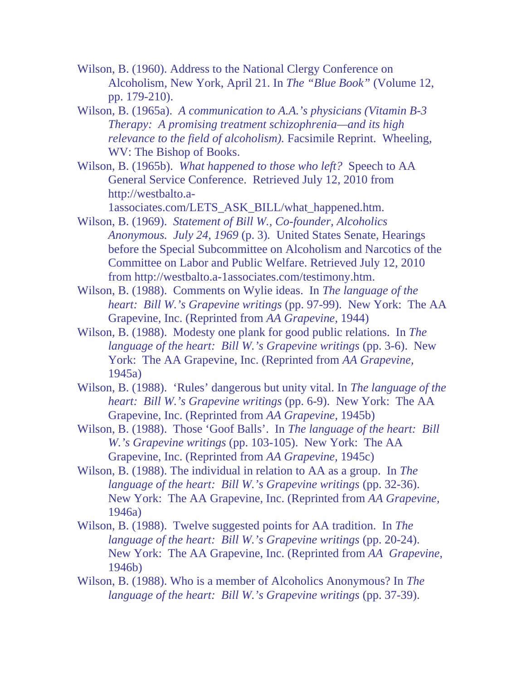- Wilson, B. (1960). Address to the National Clergy Conference on Alcoholism, New York, April 21. In *The "Blue Book"* (Volume 12, pp. 179-210).
- Wilson, B. (1965a). *A communication to A.A.'s physicians (Vitamin B-3 Therapy: A promising treatment schizophrenia—and its high relevance to the field of alcoholism).* Facsimile Reprint. Wheeling, WV: The Bishop of Books.
- Wilson, B. (1965b). *What happened to those who left?* Speech to AA General Service Conference. Retrieved July 12, 2010 from http://westbalto.a-

1associates.com/LETS\_ASK\_BILL/what\_happened.htm.

- Wilson, B. (1969). *Statement of Bill W., Co-founder, Alcoholics Anonymous. July 24, 1969* (p. 3)*.* United States Senate, Hearings before the Special Subcommittee on Alcoholism and Narcotics of the Committee on Labor and Public Welfare. Retrieved July 12, 2010 from http://westbalto.a-1associates.com/testimony.htm.
- Wilson, B. (1988). Comments on Wylie ideas. In *The language of the heart: Bill W.'s Grapevine writings* (pp. 97-99). New York: The AA Grapevine, Inc. (Reprinted from *AA Grapevine,* 1944)
- Wilson, B. (1988). Modesty one plank for good public relations. In *The language of the heart: Bill W.'s Grapevine writings* (pp. 3-6). New York: The AA Grapevine, Inc. (Reprinted from *AA Grapevine,*  1945a)
- Wilson, B. (1988). 'Rules' dangerous but unity vital. In *The language of the heart: Bill W.'s Grapevine writings* (pp. 6-9). New York: The AA Grapevine, Inc. (Reprinted from *AA Grapevine,* 1945b)
- Wilson, B. (1988). Those 'Goof Balls'. In *The language of the heart: Bill W.'s Grapevine writings* (pp. 103-105). New York: The AA Grapevine, Inc. (Reprinted from *AA Grapevine,* 1945c)
- Wilson, B. (1988). The individual in relation to AA as a group. In *The language of the heart: Bill W.'s Grapevine writings* (pp. 32-36). New York: The AA Grapevine, Inc. (Reprinted from *AA Grapevine,*  1946a)
- Wilson, B. (1988). Twelve suggested points for AA tradition. In *The language of the heart: Bill W.'s Grapevine writings* (pp. 20-24). New York: The AA Grapevine, Inc. (Reprinted from *AA Grapevine*, 1946b)
- Wilson, B. (1988). Who is a member of Alcoholics Anonymous? In *The language of the heart: Bill W.'s Grapevine writings* (pp. 37-39).